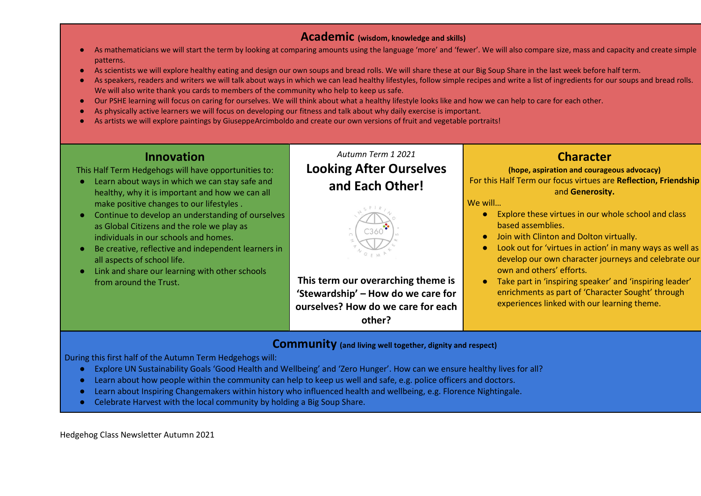#### Academic (wisdom, knowledge and skills)

- As mathematicians we will start the term by looking at comparing amounts using the language 'more' and 'fewer'. We will also compare size, mass and capacity and create simple patterns.
- As scientists we will explore healthy eating and design our own soups and bread rolls. We will share these at our Big Soup Share in the last week before half term.
- As speakers, readers and writers we will talk about ways in which we can lead healthy lifestyles, follow simple recipes and write a list of ingredients for our soups and bread rolls. We will also write thank you cards to members of the community who help to keep us safe.
- Our PSHE learning will focus on caring for ourselves. We will think about what a healthy lifestyle looks like and how we can help to care for each other.
- As physically active learners we will focus on developing our fitness and talk about why daily exercise is important.
- As artists we will explore paintings by GiuseppeArcimboldo and create our own versions of fruit and vegetable portraits!

## Innovation

This Half Term Hedgehogs will have opportunities to:

- Learn about ways in which we can stay safe and healthy, why it is important and how we can all make positive changes to our lifestyles .
- Continue to develop an understanding of ourselves as Global Citizens and the role we play as individuals in our schools and homes.
- Be creative, reflective and independent learners in all aspects of school life.
- Link and share our learning with other schools from around the Trust.

# Autumn Term 1 2021 Looking After Ourselves and Each Other!



This term our overarching theme is 'Stewardship' – How do we care for ourselves? How do we care for each other?

# **Character**

(hope, aspiration and courageous advocacy) For this Half Term our focus virtues are Reflection, Friendship and Generosity.

#### We will…

- Explore these virtues in our whole school and class based assemblies.
- Join with Clinton and Dolton virtually.
- Look out for 'virtues in action' in many ways as well as develop our own character journeys and celebrate our own and others' efforts.
- Take part in 'inspiring speaker' and 'inspiring leader' enrichments as part of 'Character Sought' through experiences linked with our learning theme.

### Community (and living well together, dignity and respect)

During this first half of the Autumn Term Hedgehogs will:

- Explore UN Sustainability Goals 'Good Health and Wellbeing' and 'Zero Hunger'. How can we ensure healthy lives for all?
- Learn about how people within the community can help to keep us well and safe, e.g. police officers and doctors.
- Learn about Inspiring Changemakers within history who influenced health and wellbeing, e.g. Florence Nightingale.
- Celebrate Harvest with the local community by holding a Big Soup Share.

Hedgehog Class Newsletter Autumn 2021